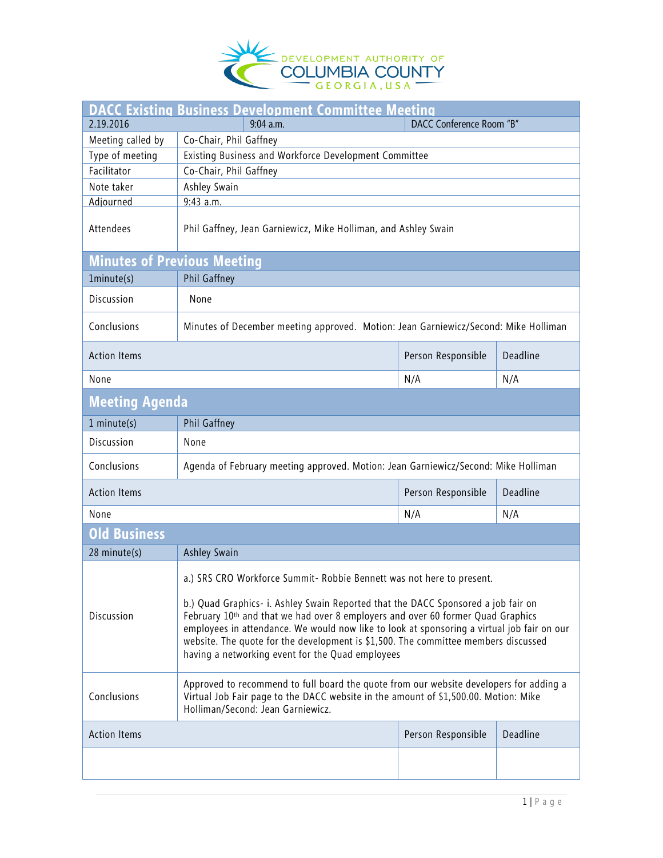

| <b>DACC Existing Business Development Committee Meeting</b> |                                                                                                                                                                                                                                                                                                                                                                                                              |                    |          |  |  |
|-------------------------------------------------------------|--------------------------------------------------------------------------------------------------------------------------------------------------------------------------------------------------------------------------------------------------------------------------------------------------------------------------------------------------------------------------------------------------------------|--------------------|----------|--|--|
| 2.19.2016                                                   | DACC Conference Room "B"<br>9:04 a.m.                                                                                                                                                                                                                                                                                                                                                                        |                    |          |  |  |
| Meeting called by                                           | Co-Chair, Phil Gaffney                                                                                                                                                                                                                                                                                                                                                                                       |                    |          |  |  |
| Type of meeting                                             | Existing Business and Workforce Development Committee                                                                                                                                                                                                                                                                                                                                                        |                    |          |  |  |
| Facilitator                                                 | Co-Chair, Phil Gaffney                                                                                                                                                                                                                                                                                                                                                                                       |                    |          |  |  |
| Note taker                                                  | Ashley Swain                                                                                                                                                                                                                                                                                                                                                                                                 |                    |          |  |  |
| Adjourned                                                   | $9:43$ a.m.                                                                                                                                                                                                                                                                                                                                                                                                  |                    |          |  |  |
| Attendees                                                   | Phil Gaffney, Jean Garniewicz, Mike Holliman, and Ashley Swain                                                                                                                                                                                                                                                                                                                                               |                    |          |  |  |
| <b>Minutes of Previous Meeting</b>                          |                                                                                                                                                                                                                                                                                                                                                                                                              |                    |          |  |  |
| 1minute(s)                                                  | Phil Gaffney                                                                                                                                                                                                                                                                                                                                                                                                 |                    |          |  |  |
| Discussion                                                  | None                                                                                                                                                                                                                                                                                                                                                                                                         |                    |          |  |  |
| Conclusions                                                 | Minutes of December meeting approved. Motion: Jean Garniewicz/Second: Mike Holliman                                                                                                                                                                                                                                                                                                                          |                    |          |  |  |
| <b>Action Items</b>                                         |                                                                                                                                                                                                                                                                                                                                                                                                              | Person Responsible | Deadline |  |  |
| None                                                        |                                                                                                                                                                                                                                                                                                                                                                                                              | N/A                | N/A      |  |  |
| <b>Meeting Agenda</b>                                       |                                                                                                                                                                                                                                                                                                                                                                                                              |                    |          |  |  |
| $1$ minute(s)                                               | Phil Gaffney                                                                                                                                                                                                                                                                                                                                                                                                 |                    |          |  |  |
| Discussion                                                  | None                                                                                                                                                                                                                                                                                                                                                                                                         |                    |          |  |  |
| Conclusions                                                 | Agenda of February meeting approved. Motion: Jean Garniewicz/Second: Mike Holliman                                                                                                                                                                                                                                                                                                                           |                    |          |  |  |
| <b>Action Items</b>                                         |                                                                                                                                                                                                                                                                                                                                                                                                              | Person Responsible | Deadline |  |  |
| None                                                        |                                                                                                                                                                                                                                                                                                                                                                                                              | N/A                | N/A      |  |  |
| Old Business                                                |                                                                                                                                                                                                                                                                                                                                                                                                              |                    |          |  |  |
| 28 minute(s)                                                | Ashley Swain                                                                                                                                                                                                                                                                                                                                                                                                 |                    |          |  |  |
|                                                             | a.) SRS CRO Workforce Summit- Robbie Bennett was not here to present.                                                                                                                                                                                                                                                                                                                                        |                    |          |  |  |
| Discussion                                                  | b.) Quad Graphics- i. Ashley Swain Reported that the DACC Sponsored a job fair on<br>February 10th and that we had over 8 employers and over 60 former Quad Graphics<br>employees in attendance. We would now like to look at sponsoring a virtual job fair on our<br>website. The quote for the development is \$1,500. The committee members discussed<br>having a networking event for the Quad employees |                    |          |  |  |
| Conclusions                                                 | Approved to recommend to full board the quote from our website developers for adding a<br>Virtual Job Fair page to the DACC website in the amount of \$1,500.00. Motion: Mike<br>Holliman/Second: Jean Garniewicz.                                                                                                                                                                                           |                    |          |  |  |
| <b>Action Items</b>                                         |                                                                                                                                                                                                                                                                                                                                                                                                              | Person Responsible | Deadline |  |  |
|                                                             |                                                                                                                                                                                                                                                                                                                                                                                                              |                    |          |  |  |